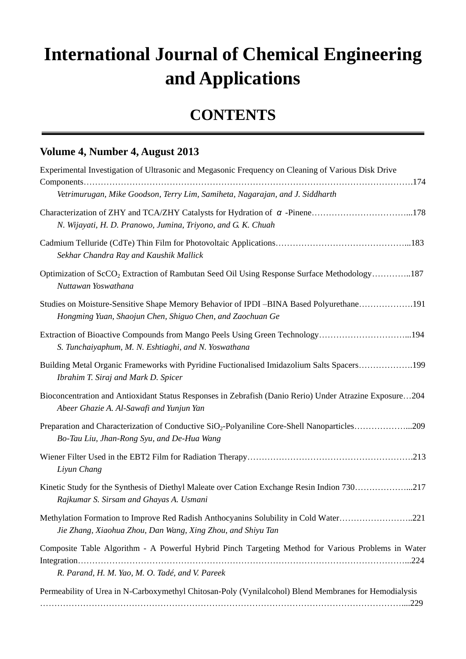## **International Journal of Chemical Engineering and Applications**

## **CONTENTS**

## **Volume 4, Number 4, August 2013**

| Experimental Investigation of Ultrasonic and Megasonic Frequency on Cleaning of Various Disk Drive                                                     |
|--------------------------------------------------------------------------------------------------------------------------------------------------------|
| Vetrimurugan, Mike Goodson, Terry Lim, Samiheta, Nagarajan, and J. Siddharth                                                                           |
| N. Wijayati, H. D. Pranowo, Jumina, Triyono, and G. K. Chuah                                                                                           |
| Sekhar Chandra Ray and Kaushik Mallick                                                                                                                 |
| Optimization of ScCO <sub>2</sub> Extraction of Rambutan Seed Oil Using Response Surface Methodology187<br>Nuttawan Yoswathana                         |
| Studies on Moisture-Sensitive Shape Memory Behavior of IPDI –BINA Based Polyurethane191<br>Hongming Yuan, Shaojun Chen, Shiguo Chen, and Zaochuan Ge   |
| Extraction of Bioactive Compounds from Mango Peels Using Green Technology194<br>S. Tunchaiyaphum, M. N. Eshtiaghi, and N. Yoswathana                   |
| Building Metal Organic Frameworks with Pyridine Fuctionalised Imidazolium Salts Spacers199<br>Ibrahim T. Siraj and Mark D. Spicer                      |
| Bioconcentration and Antioxidant Status Responses in Zebrafish (Danio Rerio) Under Atrazine Exposure204<br>Abeer Ghazie A. Al-Sawafi and Yunjun Yan    |
| Preparation and Characterization of Conductive SiO <sub>2</sub> -Polyaniline Core-Shell Nanoparticles209<br>Bo-Tau Liu, Jhan-Rong Syu, and De-Hua Wang |
| .213<br>Liyun Chang                                                                                                                                    |
| Kinetic Study for the Synthesis of Diethyl Maleate over Cation Exchange Resin Indion 730217<br>Rajkumar S. Sirsam and Ghayas A. Usmani                 |
| Methylation Formation to Improve Red Radish Anthocyanins Solubility in Cold Water221<br>Jie Zhang, Xiaohua Zhou, Dan Wang, Xing Zhou, and Shiyu Tan    |
| Composite Table Algorithm - A Powerful Hybrid Pinch Targeting Method for Various Problems in Water                                                     |
| R. Parand, H. M. Yao, M. O. Tad é, and V. Pareek                                                                                                       |
| Permeability of Urea in N-Carboxymethyl Chitosan-Poly (Vynilalcohol) Blend Membranes for Hemodialysis<br>.229                                          |